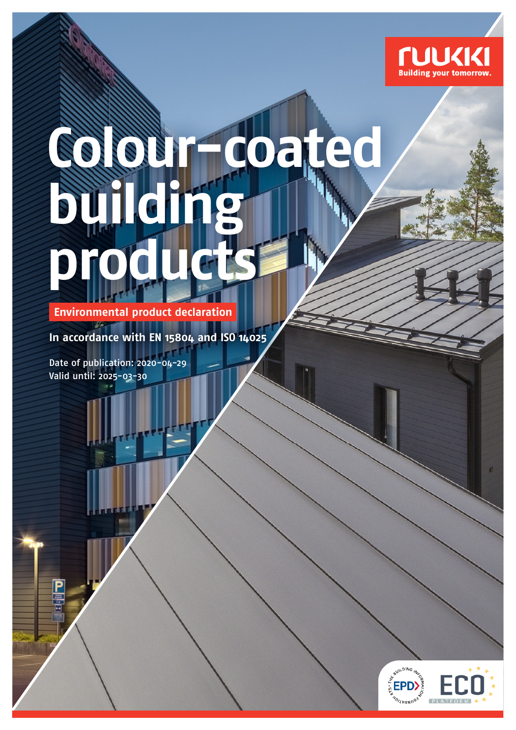

ń

# **Colour-coated building products**

**Environmental product declaration**

**In accordance with EN 15804 and ISO 14025**

Date of publication: 2020-04-29 Valid until: 2025-03-30

> **AUILDING** EP **NOILWONDOS**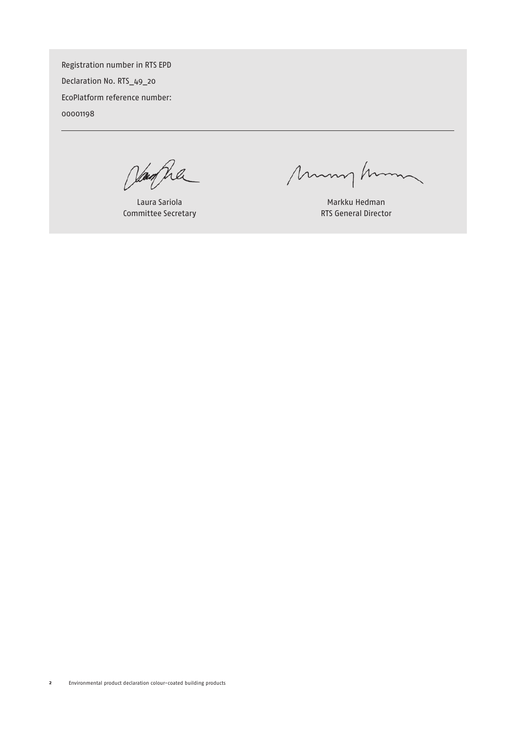Registration number in RTS EPD Declaration No. RTS\_49\_20 EcoPlatform reference number: 00001198

Janfha

Laura Sariola Committee Secretary

munghim

Markku Hedman RTS General Director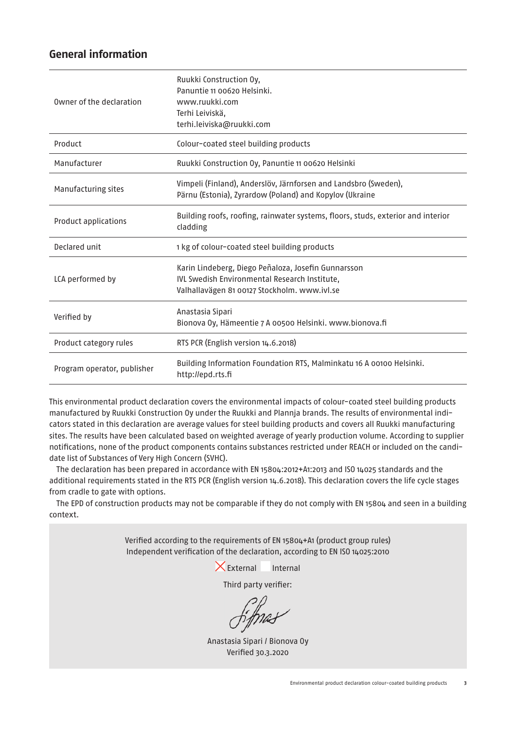# **General information**

| Owner of the declaration    | Ruukki Construction Oy,<br>Panuntie 11 00620 Helsinki.<br>www.ruukki.com<br>Terhi Leiviskä,<br>terhi.leiviska@ruukki.com                             |
|-----------------------------|------------------------------------------------------------------------------------------------------------------------------------------------------|
| Product                     | Colour-coated steel building products                                                                                                                |
| Manufacturer                | Ruukki Construction Oy, Panuntie 11 00620 Helsinki                                                                                                   |
| Manufacturing sites         | Vimpeli (Finland), Anderslöv, Järnforsen and Landsbro (Sweden),<br>Pärnu (Estonia), Zyrardow (Poland) and Kopylov (Ukraine                           |
| Product applications        | Building roofs, roofing, rainwater systems, floors, studs, exterior and interior<br>cladding                                                         |
| Declared unit               | 1 kg of colour-coated steel building products                                                                                                        |
| LCA performed by            | Karin Lindeberg, Diego Peñaloza, Josefin Gunnarsson<br>IVL Swedish Environmental Research Institute,<br>Valhallavägen 81 00127 Stockholm. www.ivl.se |
| Verified by                 | Anastasia Sipari<br>Bionova Oy, Hämeentie 7 A 00500 Helsinki. www.bionova.fi                                                                         |
| Product category rules      | RTS PCR (English version 14.6.2018)                                                                                                                  |
| Program operator, publisher | Building Information Foundation RTS, Malminkatu 16 A 00100 Helsinki.<br>http://epd.rts.fi                                                            |

This environmental product declaration covers the environmental impacts of colour-coated steel building products manufactured by Ruukki Construction Oy under the Ruukki and Plannja brands. The results of environmental indicators stated in this declaration are average values for steel building products and covers all Ruukki manufacturing sites. The results have been calculated based on weighted average of yearly production volume. According to supplier notifications, none of the product components contains substances restricted under REACH or included on the candidate list of Substances of Very High Concern (SVHC).

The declaration has been prepared in accordance with EN 15804:2012+A1:2013 and ISO 14025 standards and the additional requirements stated in the RTS PCR (English version 14.6.2018). This declaration covers the life cycle stages from cradle to gate with options.

The EPD of construction products may not be comparable if they do not comply with EN 15804 and seen in a building context.

> Verified according to the requirements of EN 15804+A1 (product group rules) Independent verification of the declaration, according to EN ISO 14025:2010

> > $\times$ External Internal

Third party verifier:

Anastasia Sipari / Bionova Oy Verified 30.3.2020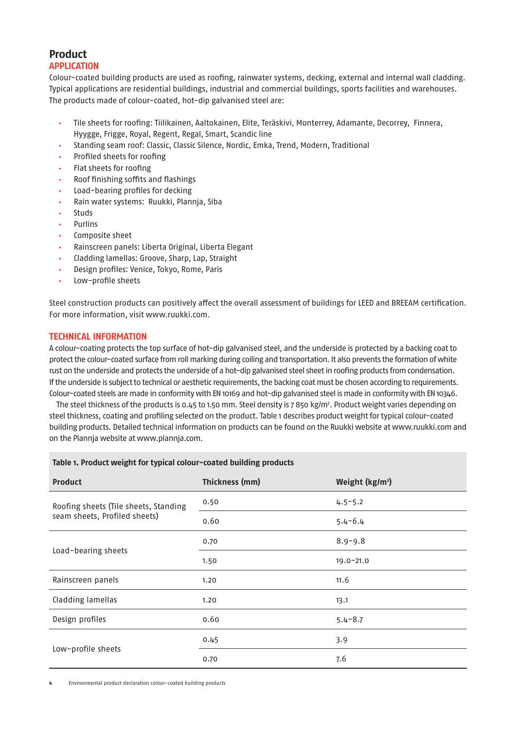# **Product**

## **APPLICATION**

Colour-coated building products are used as roofing, rainwater systems, decking, external and internal wall cladding. Typical applications are residential buildings, industrial and commercial buildings, sports facilities and warehouses. The products made of colour-coated, hot-dip galvanised steel are:

- Tile sheets for roofing: Tiilikainen, Aaltokainen, Elite, Teräskivi, Monterrey, Adamante, Decorrey, Finnera, Hyygge, Frigge, Royal, Regent, Regal, Smart, Scandic line
- Standing seam roof: Classic, Classic Silence, Nordic, Emka, Trend, Modern, Traditional
- Profiled sheets for roofing
- Flat sheets for roofing
- Roof finishing soffits and flashings
- Load-bearing profiles for decking
- Rain water systems: Ruukki, Plannja, Siba
- **Studs**
- **Purlins**
- Composite sheet
- Rainscreen panels: Liberta Original, Liberta Elegant
- Cladding lamellas: Groove, Sharp, Lap, Straight
- Design profiles: Venice, Tokyo, Rome, Paris
- Low-profile sheets

Steel construction products can positively affect the overall assessment of buildings for LEED and BREEAM certification. For more information, visit www.ruukki.com.

## **TECHNICAL INFORMATION**

A colour-coating protects the top surface of hot-dip galvanised steel, and the underside is protected by a backing coat to protect the colour-coated surface from roll marking during coiling and transportation. It also prevents the formation of white rust on the underside and protects the underside of a hot-dip galvanised steel sheet in roofing products from condensation. If the underside is subject to technical or aesthetic requirements, the backing coat must be chosen according to requirements. Colour-coated steels are made in conformity with EN 10169 and hot-dip galvanised steel is made in conformity with EN 10346.

The steel thickness of the products is 0.45 to 1.50 mm. Steel density is 7 850 kg/m3 . Product weight varies depending on steel thickness, coating and profiling selected on the product. Table 1 describes product weight for typical colour-coated building products. Detailed technical information on products can be found on the Ruukki website at www.ruukki.com and on the Plannja website at www.plannja.com.

#### **Table 1. Product weight for typical colour-coated building products**

| <b>Product</b>                        | Thickness (mm) | Weight ( $kg/m2$ ) |  |
|---------------------------------------|----------------|--------------------|--|
| Roofing sheets (Tile sheets, Standing | 0.50           | $4.5 - 5.2$        |  |
| seam sheets, Profiled sheets)         | 0.60           | $5.4 - 6.4$        |  |
|                                       | 0.70           | $8.9 - 9.8$        |  |
| Load-bearing sheets                   | 1.50           | $19.0 - 21.0$      |  |
| Rainscreen panels                     | 1.20           | 11.6               |  |
| Cladding lamellas                     | 1.20           | 13.1               |  |
| Design profiles                       | 0.60           | $5.4 - 8.7$        |  |
|                                       | 0.45           | 3.9                |  |
| Low-profile sheets                    | 0.70           | 7.6                |  |

**4** Environmental product declaration colour-coated building products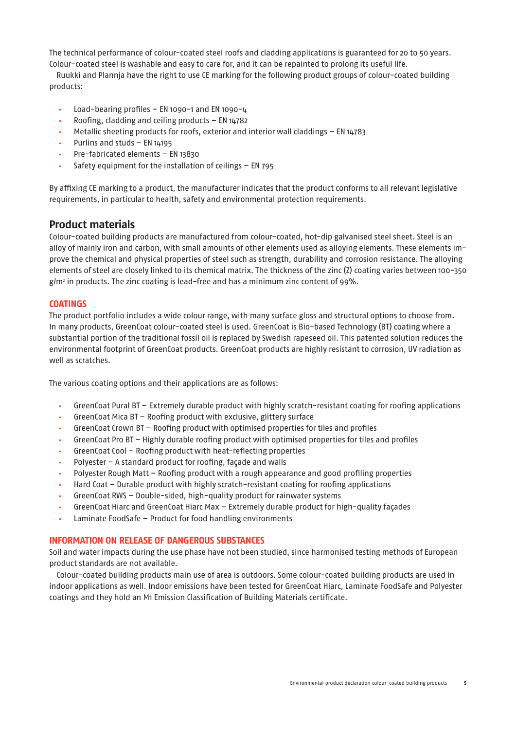The technical performance of colour-coated steel roofs and cladding applications is guaranteed for 20 to 50 years. Colour-coated steel is washable and easy to care for, and it can be repainted to prolong its useful life.

Ruukki and Plannja have the right to use CE marking for the following product groups of colour-coated building products:

- Load-bearing profiles EN 1090-1 and EN 1090-4
- Roofing, cladding and ceiling products  $-$  EN  $14782$
- Metallic sheeting products for roofs, exterior and interior wall claddings EN 14783
- Purlins and studs EN 14195
- Pre-fabricated elements EN 13830
- Safety equipment for the installation of ceilings  $-$  EN  $795$

By affixing CE marking to a product, the manufacturer indicates that the product conforms to all relevant legislative requirements, in particular to health, safety and environmental protection requirements.

## **Product materials**

Colour-coated building products are manufactured from colour-coated, hot-dip galvanised steel sheet. Steel is an alloy of mainly iron and carbon, with small amounts of other elements used as alloying elements. These elements improve the chemical and physical properties of steel such as strength, durability and corrosion resistance. The alloying elements of steel are closely linked to its chemical matrix. The thickness of the zinc (Z) coating varies between 100-350  $g/m^2$  in products. The zinc coating is lead-free and has a minimum zinc content of 99%.

## **COATINGS**

The product portfolio includes a wide colour range, with many surface gloss and structural options to choose from. In many products, GreenCoat colour-coated steel is used. GreenCoat is Bio-based Technology (BT) coating where a substantial portion of the traditional fossil oil is replaced by Swedish rapeseed oil. This patented solution reduces the environmental footprint of GreenCoat products. GreenCoat products are highly resistant to corrosion, UV radiation as well as scratches.

The various coating options and their applications are as follows:

- GreenCoat Pural BT Extremely durable product with highly scratch-resistant coating for roofing applications
- GreenCoat Mica BT Roofing product with exclusive, glittery surface
- GreenCoat Crown BT Roofing product with optimised properties for tiles and profiles
- GreenCoat Pro BT Highly durable roofing product with optimised properties for tiles and profiles
- GreenCoat Cool Roofing product with heat-reflecting properties
- Polyester A standard product for roofing, façade and walls
- Polyester Rough Matt Roofing product with a rough appearance and good profiling properties
- Hard Coat Durable product with highly scratch-resistant coating for roofing applications
- GreenCoat RWS Double-sided, high-quality product for rainwater systems
- GreenCoat Hiarc and GreenCoat Hiarc Max Extremely durable product for high-quality façades
- Laminate FoodSafe Product for food handling environments

#### **INFORMATION ON RELEASE OF DANGEROUS SUBSTANCES**

Soil and water impacts during the use phase have not been studied, since harmonised testing methods of European product standards are not available.

Colour-coated building products main use of area is outdoors. Some colour-coated building products are used in indoor applications as well. Indoor emissions have been tested for GreenCoat Hiarc, Laminate FoodSafe and Polyester coatings and they hold an M1 Emission Classification of Building Materials certificate.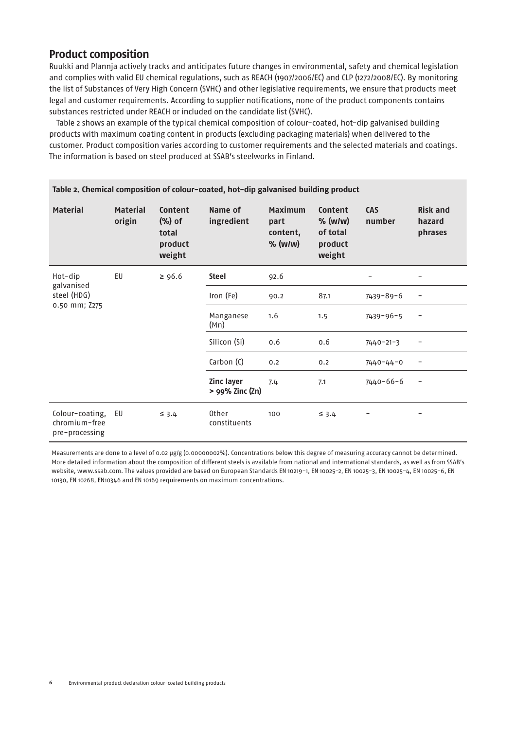# **Product composition**

Ruukki and Plannja actively tracks and anticipates future changes in environmental, safety and chemical legislation and complies with valid EU chemical regulations, such as REACH (1907/2006/EC) and CLP (1272/2008/EC). By monitoring the list of Substances of Very High Concern (SVHC) and other legislative requirements, we ensure that products meet legal and customer requirements. According to supplier notifications, none of the product components contains substances restricted under REACH or included on the candidate list (SVHC).

Table 2 shows an example of the typical chemical composition of colour-coated, hot-dip galvanised building products with maximum coating content in products (excluding packaging materials) when delivered to the customer. Product composition varies according to customer requirements and the selected materials and coatings. The information is based on steel produced at SSAB's steelworks in Finland.

| Table 2. Chemical composition of colour-coated, hot-dip galvanised building product |                           |                                                    |                                      |                                                                                                          |            |                      |                                      |  |  |  |
|-------------------------------------------------------------------------------------|---------------------------|----------------------------------------------------|--------------------------------------|----------------------------------------------------------------------------------------------------------|------------|----------------------|--------------------------------------|--|--|--|
| <b>Material</b>                                                                     | <b>Material</b><br>origin | Content<br>$(\%)$ of<br>total<br>product<br>weight | Name of<br>ingredient                | <b>Maximum</b><br>Content<br>$%$ (w/w)<br>part<br>of total<br>content,<br>$%$ (w/w)<br>product<br>weight |            | <b>CAS</b><br>number | <b>Risk and</b><br>hazard<br>phrases |  |  |  |
| Hot-dip<br>galvanised<br>steel (HDG)<br>0.50 mm; Z275                               | EU                        | $\geq 96.6$                                        | <b>Steel</b>                         | 92.6                                                                                                     |            | -                    | $\qquad \qquad -$                    |  |  |  |
|                                                                                     |                           |                                                    | Iron (Fe)                            | 90.2                                                                                                     | 87.1       | $7439 - 89 - 6$      | $\qquad \qquad -$                    |  |  |  |
|                                                                                     |                           |                                                    | Manganese<br>(Mn)                    | 1.6                                                                                                      | 1.5        | $7439 - 96 - 5$      | -                                    |  |  |  |
|                                                                                     |                           |                                                    | Silicon (Si)                         | 0.6                                                                                                      | 0.6        | $7440 - 21 - 3$      |                                      |  |  |  |
|                                                                                     |                           |                                                    | Carbon (C)                           | 0.2                                                                                                      | 0.2        | $7440 - 44 - 0$      |                                      |  |  |  |
|                                                                                     |                           |                                                    | <b>Zinc layer</b><br>> 99% Zinc (Zn) | 7.4                                                                                                      | 7.1        | 7440-66-6            | -                                    |  |  |  |
| Colour-coating,<br>chromium-free<br>pre-processing                                  | EU                        | $\leq$ 3.4                                         | 0ther<br>constituents                | 100                                                                                                      | $\leq$ 3.4 |                      |                                      |  |  |  |

Measurements are done to a level of 0.02 μg/g (0.00000002%). Concentrations below this degree of measuring accuracy cannot be determined. More detailed information about the composition of different steels is available from national and international standards, as well as from SSAB's website, www.ssab.com. The values provided are based on European Standards EN 10219-1, EN 10025-2, EN 10025-3, EN 10025-4, EN 10025-6, EN 10130, EN 10268, EN10346 and EN 10169 requirements on maximum concentrations.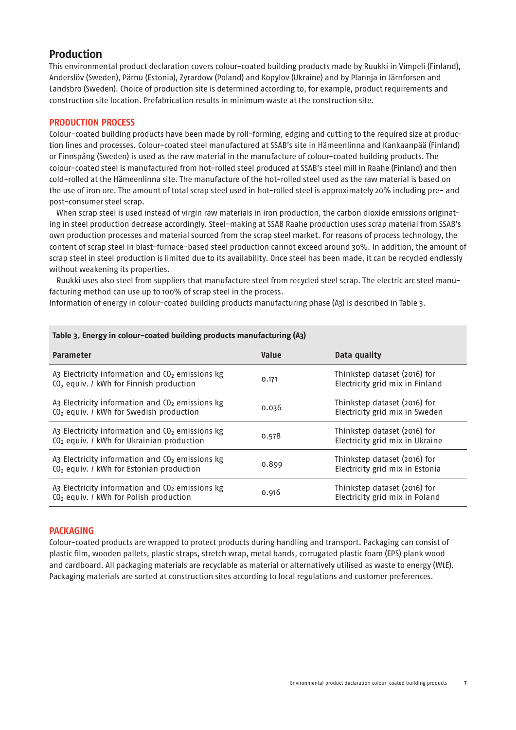# **Production**

This environmental product declaration covers colour-coated building products made by Ruukki in Vimpeli (Finland), Anderslöv (Sweden), Pärnu (Estonia), Zyrardow (Poland) and Kopylov (Ukraine) and by Plannja in Järnforsen and Landsbro (Sweden). Choice of production site is determined according to, for example, product requirements and construction site location. Prefabrication results in minimum waste at the construction site.

## **PRODUCTION PROCESS**

Colour-coated building products have been made by roll-forming, edging and cutting to the required size at production lines and processes. Colour-coated steel manufactured at SSAB's site in Hämeenlinna and Kankaanpää (Finland) or Finnspång (Sweden) is used as the raw material in the manufacture of colour-coated building products. The colour-coated steel is manufactured from hot-rolled steel produced at SSAB's steel mill in Raahe (Finland) and then cold-rolled at the Hämeenlinna site. The manufacture of the hot-rolled steel used as the raw material is based on the use of iron ore. The amount of total scrap steel used in hot-rolled steel is approximately 20% including pre- and post-consumer steel scrap.

When scrap steel is used instead of virgin raw materials in iron production, the carbon dioxide emissions originating in steel production decrease accordingly. Steel-making at SSAB Raahe production uses scrap material from SSAB's own production processes and material sourced from the scrap steel market. For reasons of process technology, the content of scrap steel in blast-furnace-based steel production cannot exceed around 30%. In addition, the amount of scrap steel in steel production is limited due to its availability. Once steel has been made, it can be recycled endlessly without weakening its properties.

Ruukki uses also steel from suppliers that manufacture steel from recycled steel scrap. The electric arc steel manufacturing method can use up to 100% of scrap steel in the process.

Information of energy in colour-coated building products manufacturing phase (A3) is described in Table 3.

| <b>Parameter</b>                                                                                              | <b>Value</b> | Data quality                                                    |
|---------------------------------------------------------------------------------------------------------------|--------------|-----------------------------------------------------------------|
| $A_3$ Electricity information and $O_2$ emissions kg<br>CO <sub>2</sub> equiv. / kWh for Finnish production   | 0.171        | Thinkstep dataset (2016) for<br>Electricity grid mix in Finland |
| $A_3$ Electricity information and $C_2$ emissions kg<br>CO <sub>2</sub> equiv. / kWh for Swedish production   | 0.036        | Thinkstep dataset (2016) for<br>Electricity grid mix in Sweden  |
| $A_3$ Electricity information and $O_2$ emissions kg<br>CO <sub>2</sub> equiv. / kWh for Ukrainian production | 0.578        | Thinkstep dataset (2016) for<br>Electricity grid mix in Ukraine |
| $A_3$ Electricity information and $CO2$ emissions kg<br>CO <sub>2</sub> equiv. / kWh for Estonian production  | 0.899        | Thinkstep dataset (2016) for<br>Electricity grid mix in Estonia |
| $A_3$ Electricity information and $CO2$ emissions kg<br>CO <sub>2</sub> equiv. / kWh for Polish production    | 0.916        | Thinkstep dataset (2016) for<br>Electricity grid mix in Poland  |

#### **Table 3. Energy in colour-coated building products manufacturing (A3)**

#### **PACKAGING**

Colour-coated products are wrapped to protect products during handling and transport. Packaging can consist of plastic film, wooden pallets, plastic straps, stretch wrap, metal bands, corrugated plastic foam (EPS) plank wood and cardboard. All packaging materials are recyclable as material or alternatively utilised as waste to energy (WtE). Packaging materials are sorted at construction sites according to local regulations and customer preferences.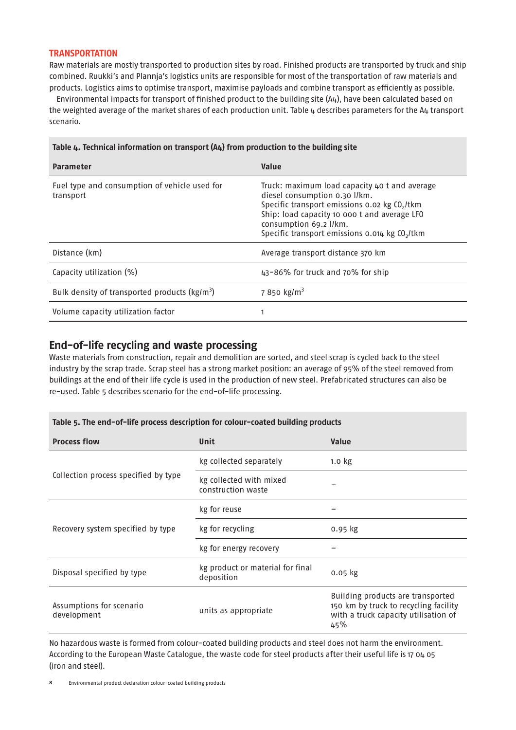#### **TRANSPORTATION**

Raw materials are mostly transported to production sites by road. Finished products are transported by truck and ship combined. Ruukki's and Plannja's logistics units are responsible for most of the transportation of raw materials and products. Logistics aims to optimise transport, maximise payloads and combine transport as efficiently as possible.

Environmental impacts for transport of finished product to the building site (A4), have been calculated based on the weighted average of the market shares of each production unit. Table 4 describes parameters for the A4 transport scenario.

| <b>Parameter</b>                                           | <b>Value</b>                                                                                                                                                                                                                                                                        |
|------------------------------------------------------------|-------------------------------------------------------------------------------------------------------------------------------------------------------------------------------------------------------------------------------------------------------------------------------------|
| Fuel type and consumption of vehicle used for<br>transport | Truck: maximum load capacity 40 t and average<br>diesel consumption 0.30 l/km.<br>Specific transport emissions 0.02 kg CO <sub>2</sub> /tkm<br>Ship: load capacity 10 000 t and average LFO<br>consumption 69.2 l/km.<br>Specific transport emissions 0.014 kg CO <sub>2</sub> /tkm |
| Distance (km)                                              | Average transport distance 370 km                                                                                                                                                                                                                                                   |
| Capacity utilization (%)                                   | 43-86% for truck and 70% for ship                                                                                                                                                                                                                                                   |
| Bulk density of transported products ( $\text{kg/m}^3$ )   | 7 850 kg/m <sup>3</sup>                                                                                                                                                                                                                                                             |
| Volume capacity utilization factor                         |                                                                                                                                                                                                                                                                                     |

#### **Table 4. Technical information on transport (A4) from production to the building site**

## **End-of-life recycling and waste processing**

Waste materials from construction, repair and demolition are sorted, and steel scrap is cycled back to the steel industry by the scrap trade. Scrap steel has a strong market position: an average of 95% of the steel removed from buildings at the end of their life cycle is used in the production of new steel. Prefabricated structures can also be re-used. Table 5 describes scenario for the end-of-life processing.

## **Table 5. The end-of-life process description for colour-coated building products**

| <b>Process flow</b>                     | <b>Unit</b>                                    | <b>Value</b>                                                                                                              |
|-----------------------------------------|------------------------------------------------|---------------------------------------------------------------------------------------------------------------------------|
|                                         | kg collected separately                        | 1.0 <sub>kg</sub>                                                                                                         |
| Collection process specified by type    | kg collected with mixed<br>construction waste  |                                                                                                                           |
|                                         | kg for reuse                                   |                                                                                                                           |
| Recovery system specified by type       | kg for recycling                               | $0.95$ kg                                                                                                                 |
|                                         | kg for energy recovery                         |                                                                                                                           |
| Disposal specified by type              | kg product or material for final<br>deposition | $0.05$ $kg$                                                                                                               |
| Assumptions for scenario<br>development | units as appropriate                           | Building products are transported<br>150 km by truck to recycling facility<br>with a truck capacity utilisation of<br>45% |

No hazardous waste is formed from colour-coated building products and steel does not harm the environment. According to the European Waste Catalogue, the waste code for steel products after their useful life is 17 04 05 (iron and steel).

**<sup>8</sup>** Environmental product declaration colour-coated building products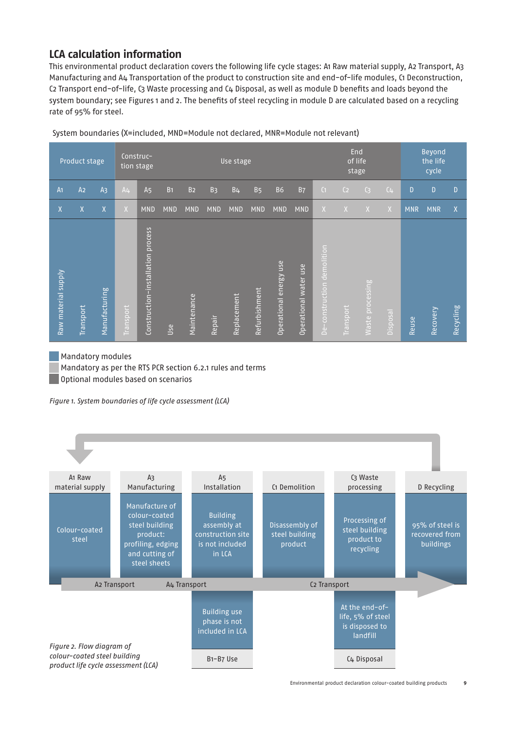# **LCA calculation information**

This environmental product declaration covers the following life cycle stages: A1 Raw material supply, A2 Transport, A3 Manufacturing and A4 Transportation of the product to construction site and end-of-life modules, C1 Deconstruction, C2 Transport end-of-life, C3 Waste processing and C4 Disposal, as well as module D benefits and loads beyond the system boundary; see Figures 1 and 2. The benefits of steel recycling in module D are calculated based on a recycling rate of 95% for steel.

| Product stage       |                |                |                | Construc-<br>tion stage              |            | Use stage      |            |                |                       |                                  |                                             |                                                        | End<br>of life<br>stage |                         |          |            | <b>Beyond</b><br>the life<br>cycle |                  |
|---------------------|----------------|----------------|----------------|--------------------------------------|------------|----------------|------------|----------------|-----------------------|----------------------------------|---------------------------------------------|--------------------------------------------------------|-------------------------|-------------------------|----------|------------|------------------------------------|------------------|
| A <sub>1</sub>      | A <sub>2</sub> | A <sub>3</sub> | A <sub>4</sub> | A <sub>5</sub>                       | <b>B1</b>  | B <sub>2</sub> | <b>B3</b>  | B <sub>4</sub> | <b>B</b> <sub>5</sub> | <b>B6</b>                        | <b>B7</b>                                   | $\overline{C}$                                         | C <sub>2</sub>          | $\mathsf{C}$            | $(L+$    | D          | D                                  | D                |
| X                   | X              | $\mathsf{X}$   | $\overline{X}$ | <b>MND</b>                           | <b>MND</b> | <b>MND</b>     | <b>MND</b> | <b>MND</b>     | <b>MND</b>            | <b>MND</b>                       | <b>MND</b>                                  | X                                                      | $\overline{X}$          | X                       | X        | <b>MNR</b> | <b>MNR</b>                         | X                |
| Raw material supply | Transport      | Manufacturing  | Transport      | process<br>Construction-installation | <u>Use</u> | Maintenance    | Repair     | Replacement    | Refurbishment         | energy use<br><b>Operational</b> | use<br>water<br>perational<br>$\bar{\circ}$ | demolition<br>construction<br>$\overline{L}$<br>$\Box$ | <b>Transport</b>        | <b>Waste processing</b> | Disposal | Reuse      | Recovery                           | <b>Recycling</b> |

System boundaries (X=included, MND=Module not declared, MNR=Module not relevant)

Mandatory modules Mandatory as per the RTS PCR section 6.2.1 rules and terms Optional modules based on scenarios

Figure 1. System boundaries of life cycle assessment (LCA)

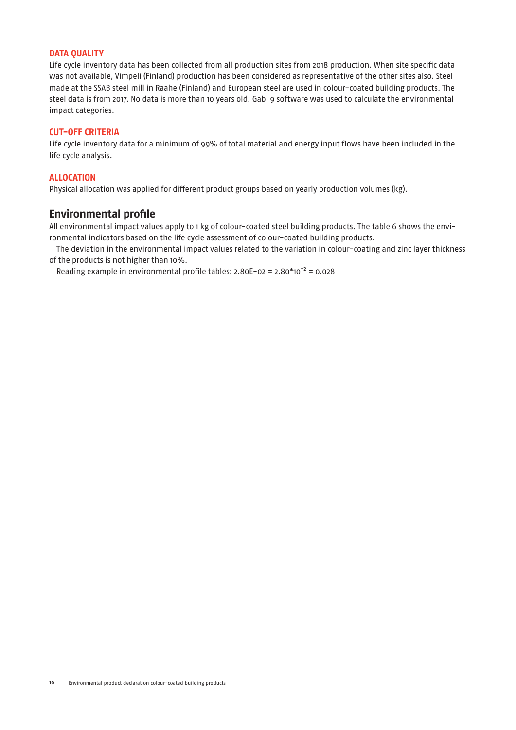## **DATA QUALITY**

Life cycle inventory data has been collected from all production sites from 2018 production. When site specific data was not available, Vimpeli (Finland) production has been considered as representative of the other sites also. Steel made at the SSAB steel mill in Raahe (Finland) and European steel are used in colour-coated building products. The steel data is from 2017. No data is more than 10 years old. Gabi 9 software was used to calculate the environmental impact categories.

#### **CUT-OFF CRITERIA**

Life cycle inventory data for a minimum of 99% of total material and energy input flows have been included in the life cycle analysis.

#### **ALLOCATION**

Physical allocation was applied for different product groups based on yearly production volumes (kg).

# **Environmental profile**

All environmental impact values apply to 1 kg of colour-coated steel building products. The table 6 shows the environmental indicators based on the life cycle assessment of colour-coated building products.

The deviation in the environmental impact values related to the variation in colour-coating and zinc layer thickness of the products is not higher than 10%.

Reading example in environmental profile tables:  $2.80E-02 = 2.80*10^{-2} = 0.028$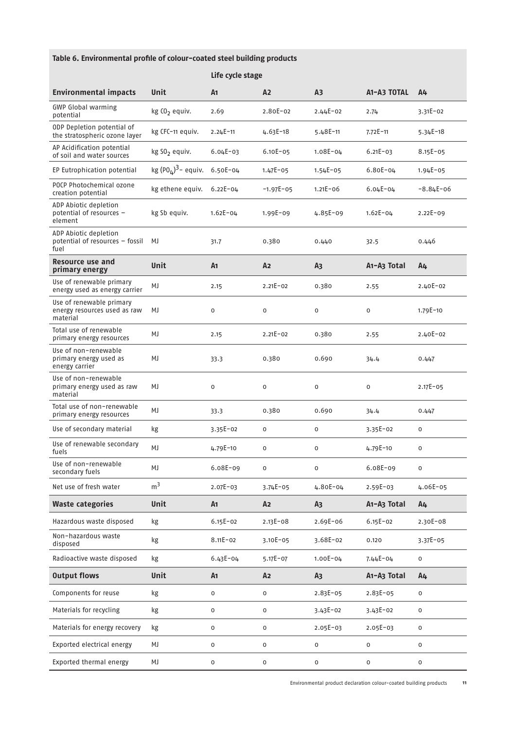# **Table 6. Environmental profile of colour-coated steel building products**

|                                                                      |                               | Life cycle stage    |                |                |                                      |                     |  |  |  |
|----------------------------------------------------------------------|-------------------------------|---------------------|----------------|----------------|--------------------------------------|---------------------|--|--|--|
| <b>Environmental impacts</b>                                         | <b>Unit</b>                   | A <sub>1</sub>      | A <sub>2</sub> | A <sub>3</sub> | A1-A3 TOTAL                          | A4                  |  |  |  |
| <b>GWP Global warming</b><br>potential                               | kg CO <sub>2</sub> equiv.     | 2.69                | 2.80E-02       | $2.44E - 02$   | 2.74                                 | $3.31E - 02$        |  |  |  |
| ODP Depletion potential of<br>the stratospheric ozone layer          | kg CFC-11 equiv.              | $2.24E - 11$        | $4.63E - 18$   | $5.48E - 11$   | $7.72E - 11$                         | $5.34E - 18$        |  |  |  |
| AP Acidification potential<br>of soil and water sources              | kg S02 equiv.                 | $6.04E - 03$        | $6.10E - 05$   | $1.08E - 04$   | $6.21E - 03$                         | $8.15E - 05$        |  |  |  |
| EP Eutrophication potential                                          | kg $(POL)3$ - equiv. 6.50E-04 |                     | $1.47E - 05$   | $1.54E - 05$   | $6.80E - 04$                         | $1.94E - 05$        |  |  |  |
| POCP Photochemical ozone<br>creation potential                       | kg ethene equiv.              | $6.22E - 04$        | $-1.97E - 05$  | $1.21E - 06$   | $6.04E - 04$                         | $-8.84E-06$         |  |  |  |
| ADP Abiotic depletion<br>potential of resources -<br>element         | kg Sb equiv.                  | $1.62E - 04$        | $1.99E - 09$   | $4.85E-09$     | $1.62E - 04$                         | $2.22E - 09$        |  |  |  |
| ADP Abiotic depletion<br>potential of resources - fossil<br>fuel     | MJ                            | 31.7                | 0.380          | 0.440          | 32.5                                 | 0.446               |  |  |  |
| Resource use and<br>primary energy                                   | <b>Unit</b>                   | A <sub>1</sub>      | A <sub>2</sub> | A <sub>3</sub> | A <sub>1</sub> -A <sub>3</sub> Total | A <sub>4</sub>      |  |  |  |
| Use of renewable primary<br>energy used as energy carrier            | MJ                            | 2.15                | $2.21E - 02$   | 0.380          | 2.55                                 | $2.40E - 02$        |  |  |  |
| Use of renewable primary<br>energy resources used as raw<br>material | MJ                            | $\mathsf{O}$        | $\mathbf 0$    | $\mathsf{O}$   | 0                                    | 1.79E-10            |  |  |  |
| Total use of renewable<br>primary energy resources                   | MJ                            | 2.15                | $2.21E - 02$   | 0.380          | 2.55                                 | $2.40E-02$          |  |  |  |
| Use of non-renewable<br>primary energy used as<br>energy carrier     | MJ                            | 33.3                | 0.380          | 0.690          | 34.4                                 | 0.447               |  |  |  |
| Use of non-renewable<br>primary energy used as raw<br>material       | MJ                            | 0                   | $\mathsf{o}$   | $\mathsf{o}$   | 0                                    | $2.17E - 05$        |  |  |  |
| Total use of non-renewable<br>primary energy resources               | MJ                            | 33.3                | 0.380          | 0.690          | 34.4                                 | 0.447               |  |  |  |
| Use of secondary material                                            | kg                            | $3.35E - 02$        | 0              | 0              | $3.35E - 02$                         | 0                   |  |  |  |
| Use of renewable secondary<br>fuels                                  | MJ                            | $4.79E - 10$        | $\mathbf 0$    | $\mathbf 0$    | 4.79E-10                             | $\mathsf{O}\xspace$ |  |  |  |
| Use of non-renewable<br>secondary fuels                              | MJ                            | 6.08E-09            | 0              | $\mathsf{o}$   | 6.08E-09                             | $\mathsf{O}\xspace$ |  |  |  |
| Net use of fresh water                                               | m <sup>3</sup>                | $2.07E - 03$        | $3.74E - 05$   | 4.80E-04       | $2.59E - 03$                         | 4.06E-05            |  |  |  |
| <b>Waste categories</b>                                              | <b>Unit</b>                   | A <sub>1</sub>      | A <sub>2</sub> | A <sub>3</sub> | A <sub>1</sub> -A <sub>3</sub> Total | A <sub>4</sub>      |  |  |  |
| Hazardous waste disposed                                             | kg                            | $6.15E - 02$        | $2.13E - 08$   | $2.69E - 06$   | $6.15E - 02$                         | $2.30E - 08$        |  |  |  |
| Non-hazardous waste<br>disposed                                      | kg                            | $8.11E - 02$        | $3.10E - 05$   | $3.68E - 02$   | 0.120                                | $3.37E - 05$        |  |  |  |
| Radioactive waste disposed                                           | kg                            | $6.43E - 04$        | $5.17E - 07$   | $1.00E - 04$   | $7.44E - 04$                         | 0                   |  |  |  |
| <b>Output flows</b>                                                  | <b>Unit</b>                   | A <sub>1</sub>      | A <sub>2</sub> | A <sub>3</sub> | A <sub>1</sub> -A <sub>3</sub> Total | A <sub>4</sub>      |  |  |  |
| Components for reuse                                                 | kg                            | 0                   | 0              | 2.83E-05       | $2.83E - 05$                         | 0                   |  |  |  |
| Materials for recycling                                              | kg                            | 0                   | 0              | $3.43E - 02$   | $3.43E - 02$                         | 0                   |  |  |  |
| Materials for energy recovery                                        | kg                            | $\mathsf{O}\xspace$ | 0              | $2.05E - 03$   | $2.05E-03$                           | 0                   |  |  |  |
| Exported electrical energy                                           | MJ                            | 0                   | 0              | 0              | 0                                    | $\mathsf{O}\xspace$ |  |  |  |
| Exported thermal energy                                              | MJ                            | $\mathsf{O}\xspace$ | 0              | 0              | 0                                    | 0                   |  |  |  |

Environmental product declaration colour-coated building products **11**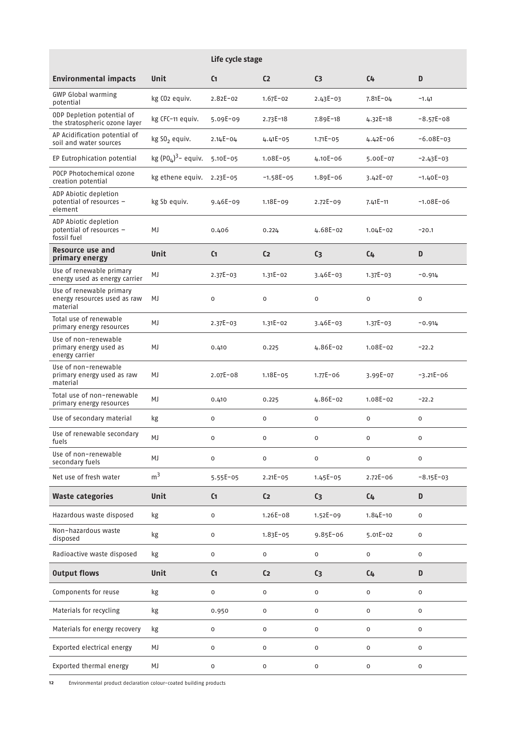|                                                                      |                           | Life cycle stage    |                     |                     |                |                     |  |  |  |
|----------------------------------------------------------------------|---------------------------|---------------------|---------------------|---------------------|----------------|---------------------|--|--|--|
| <b>Environmental impacts</b>                                         | Unit                      | C <sub>1</sub>      | C <sub>2</sub>      | C <sub>3</sub>      | $C_{4}$        | D                   |  |  |  |
| <b>GWP Global warming</b><br>potential                               | kg CO <sub>2</sub> equiv. | $2.82E - 02$        | $1.67E - 02$        | $2.43E - 03$        | $7.81E - 04$   | $-1.41$             |  |  |  |
| ODP Depletion potential of<br>the stratospheric ozone layer          | kg CFC-11 equiv.          | $5.09E - 09$        | $2.73E - 18$        | 7.89E-18            | $4.32E - 18$   | $-8.57E-08$         |  |  |  |
| AP Acidification potential of<br>soil and water sources              | kg S0 <sub>2</sub> equiv. | $2.14E - 04$        | $4.41E - 05$        | $1.71E - 05$        | $4.42E - 06$   | $-6.08E-03$         |  |  |  |
| EP Eutrophication potential                                          | kg $(POμ)3$ - equiv.      | 5.10E-05            | 1.08E-05            | $4.10E - 06$        | 5.00E-07       | $-2.43E-03$         |  |  |  |
| POCP Photochemical ozone<br>creation potential                       | kg ethene equiv.          | $2.23E - 05$        | $-1.58E-05$         | $1.89E - 06$        | $3.42E - 07$   | $-1.40E-03$         |  |  |  |
| ADP Abiotic depletion<br>potential of resources -<br>element         | kg Sb equiv.              | $9.46E - 09$        | $1.18E - 09$        | $2.72E - 09$        | $7.41E - 11$   | $-1.08E - 06$       |  |  |  |
| ADP Abiotic depletion<br>potential of resources -<br>fossil fuel     | MJ                        | 0.406               | 0.224               | 4.68E-02            | $1.04E - 02$   | $-20.1$             |  |  |  |
| Resource use and<br>primary energy                                   | Unit                      | C <sub>1</sub>      | C <sub>2</sub>      | C <sub>3</sub>      | $C_{4}$        | D                   |  |  |  |
| Use of renewable primary<br>energy used as energy carrier            | MJ                        | $2.37E - 03$        | $1.31E - 02$        | $3.46E-03$          | $1.37E - 03$   | $-0.914$            |  |  |  |
| Use of renewable primary<br>energy resources used as raw<br>material | MJ                        | 0                   | 0                   | $\mathsf{o}$        | 0              | 0                   |  |  |  |
| Total use of renewable<br>primary energy resources                   | MJ                        | $2.37E - 03$        | $1.31E - 02$        | $3.46E - 03$        | $1.37E - 03$   | $-0.914$            |  |  |  |
| Use of non-renewable<br>primary energy used as<br>energy carrier     | MJ                        | 0.410               | 0.225               | $4.86E-02$          | $1.08E - 02$   | $-22.2$             |  |  |  |
| Use of non-renewable<br>primary energy used as raw<br>material       | MJ                        | $2.07E - 08$        | $1.18E - 05$        | $1.77E - 06$        | 3.99E-07       | $-3.21E - 06$       |  |  |  |
| Total use of non-renewable<br>primary energy resources               | MJ                        | 0.410               | 0.225               | $4.86E-02$          | $1.08E - 02$   | $-22.2$             |  |  |  |
| Use of secondary material                                            | kg                        | 0                   | 0                   | $\mathsf{o}$        | 0              | 0                   |  |  |  |
| Use of renewable secondary<br>fuels                                  | MJ                        | 0                   | 0                   | 0                   | 0              | 0                   |  |  |  |
| Use of non-renewable<br>secondary fuels                              | MJ                        | $\mathsf{O}\xspace$ | 0                   | $\mathsf{o}$        | $\mathsf{o}\,$ | 0                   |  |  |  |
| Net use of fresh water                                               | m <sup>3</sup>            | $5.55E - 05$        | $2.21E - 05$        | $1.45E - 05$        | $2.72E - 06$   | $-8.15E-03$         |  |  |  |
| <b>Waste categories</b>                                              | <b>Unit</b>               | C <sub>1</sub>      | C <sub>2</sub>      | C <sub>3</sub>      | $C_{4}$        | D                   |  |  |  |
| Hazardous waste disposed                                             | kg                        | 0                   | $1.26E - 08$        | $1.52E - 09$        | $1.84E - 10$   | 0                   |  |  |  |
| Non-hazardous waste<br>disposed                                      | kg                        | $\mathsf{O}\xspace$ | $1.83E - 05$        | $9.85E - 06$        | $5.01E - 02$   | 0                   |  |  |  |
| Radioactive waste disposed                                           | kg                        | 0                   | $\mathsf{O}\xspace$ | 0                   | 0              | 0                   |  |  |  |
| <b>Output flows</b>                                                  | <b>Unit</b>               | C <sub>1</sub>      | C <sub>2</sub>      | C <sub>3</sub>      | $C_{4}$        | D                   |  |  |  |
| Components for reuse                                                 | kg                        | 0                   | 0                   | 0                   | 0              | 0                   |  |  |  |
| Materials for recycling                                              | kg                        | 0.950               | 0                   | $\mathsf{o}$        | 0              | 0                   |  |  |  |
| Materials for energy recovery                                        | kg                        | 0                   | 0                   | 0                   | 0              | 0                   |  |  |  |
| Exported electrical energy                                           | MJ                        | 0                   | 0                   | 0                   | 0              | 0                   |  |  |  |
| Exported thermal energy                                              | MJ                        | $\mathsf{O}\xspace$ | $\mathsf 0$         | $\mathsf{O}\xspace$ | 0              | $\mathsf{O}\xspace$ |  |  |  |

**12** Environmental product declaration colour-coated building products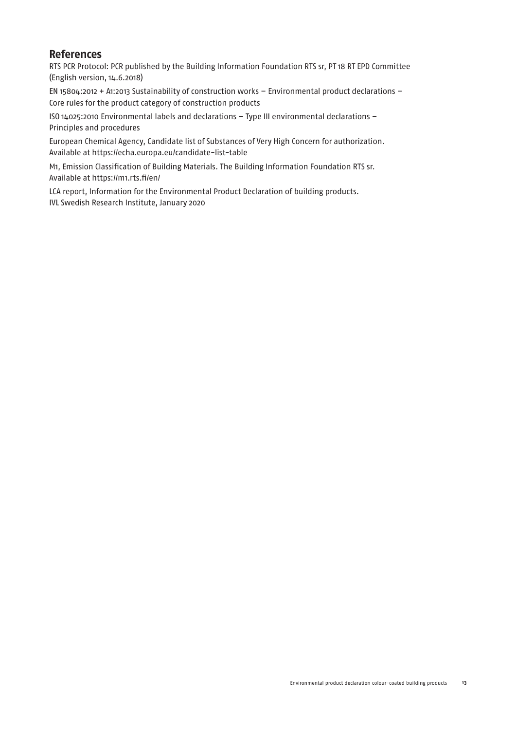# **References**

RTS PCR Protocol: PCR published by the Building Information Foundation RTS sr, PT 18 RT EPD Committee (English version, 14.6.2018)

EN 15804:2012 + A1:2013 Sustainability of construction works – Environmental product declarations – Core rules for the product category of construction products

ISO 14025:2010 Environmental labels and declarations – Type III environmental declarations – Principles and procedures

European Chemical Agency, Candidate list of Substances of Very High Concern for authorization. Available at https://echa.europa.eu/candidate-list-table

M1, Emission Classification of Building Materials. The Building Information Foundation RTS sr. Available at https://m1.rts.fi/en/

LCA report, Information for the Environmental Product Declaration of building products. IVL Swedish Research Institute, January 2020